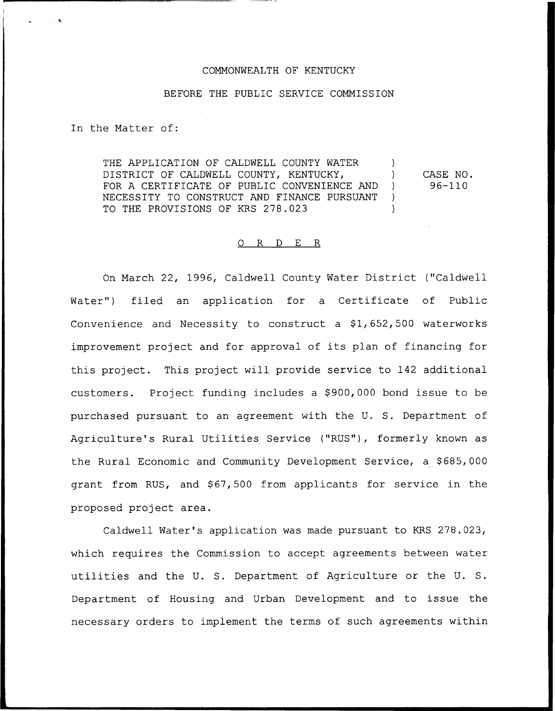## COMMONWEALTH OF KENTUCKY

## BEFORE THE PUBLIC SERVICE COMMISSION

In the Matter of:

THE APPLICATION OF CALDWELL COUNTY WATER ) DISTRICT OF CALDWELL COUNTY, KENTUCKY, FOR A CERTIFICATE OF PUBLIC CONVENIENCE AND ) NECESSITY TO CONSTRUCT AND FINANCE PURSUANT ) TO THE PROVISIONS OF KRS 278.023 CASE NO. 96-110

## 0 R <sup>D</sup> E R

On March 22, 1996, Caldwell County Water District ("Caldwell Water") filed an application for a Certificate of Public Convenience and Necessity to construct a  $$1,652,500$  waterworks improvement project and for approval of its plan of financing for this project. This project will provide service to 142 additional customers. Project funding includes a \$900,000 bond issue to be purchased pursuant to an agreement with the U. S. Department of Agriculture's Rural Utilities Service ("RUS"), formerly known as the Rural Economic and Community Development Service, a \$685,000 grant from RUS, and \$67,500 from applicants for service in the proposed project area.

Caldwell Water's application was made pursuant to KRS 278.023, which requires the Commission to accept agreements between water utilities and the U. S. Department of Agriculture or the U. S. Department of Housing and Urban Development and to issue the necessary orders to implement the terms of such agreements within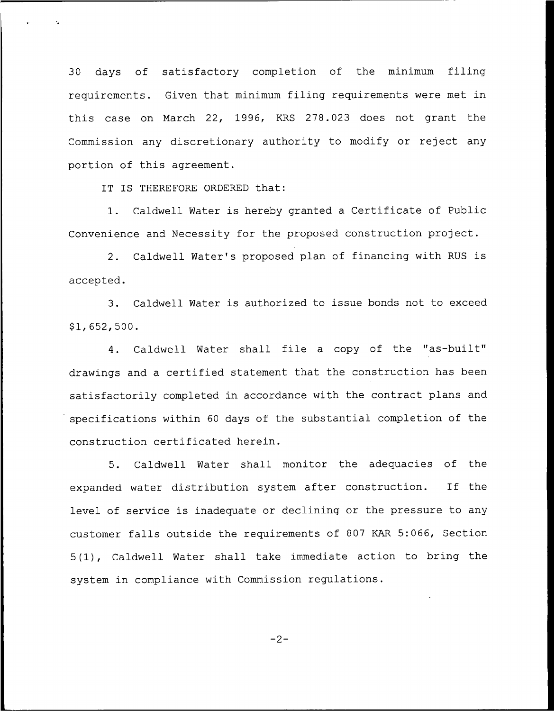30 days of satisfactory completion of the minimum filing requirements. Given that minimum filing requirements were met in this case on March 22, 1996, KRS 278.023 does not grant the Commission any discretionary authority to modify or reject any portion of this agreement.

IT IS THEREFORE ORDERED that:

1. Caldwell Water is hereby granted <sup>a</sup> Certificate of Public Convenience and Necessity for the proposed construction project.

2. Caldwell Water's proposed plan of financing with RUS is accepted.

3. Caldwell Water is authorized to issue bonds not to exceed \$ 1, 652, 500.

4. Caldwell Water shall file <sup>a</sup> copy of the "as-built" drawings and a certified statement that the construction has been satisfactorily completed in accordance with the contract plans and specifications within 60 days of the substantial completion of the construction certificated herein.

5. Caldwell Water shall monitor the adequacies of the expanded water distribution system after construction. If the level of service is inadequate or declining or the pressure to any customer falls outside the requirements of 807 KAR 5:066, Section 5(1), Caldwell Water shall take immediate action to bring the system in compliance with Commission regulations.

 $-2-$